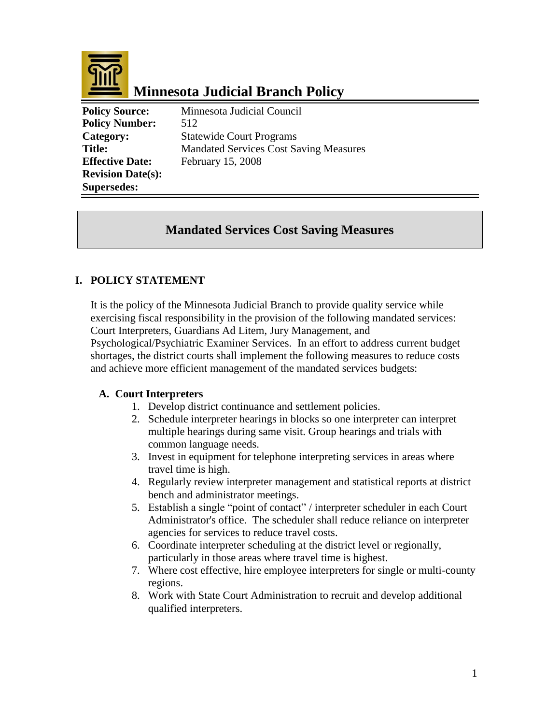

# **Minnesota Judicial Branch Policy**

**Policy Source:** Minnesota Judicial Council **Policy Number:** 512 **Category:** Statewide Court Programs **Title:** Mandated Services Cost Saving Measures **Effective Date:** February 15, 2008 **Revision Date(s): Supersedes:** 

## **Mandated Services Cost Saving Measures**

## **I. POLICY STATEMENT**

It is the policy of the Minnesota Judicial Branch to provide quality service while exercising fiscal responsibility in the provision of the following mandated services: Court Interpreters, Guardians Ad Litem, Jury Management, and Psychological/Psychiatric Examiner Services. In an effort to address current budget

shortages, the district courts shall implement the following measures to reduce costs and achieve more efficient management of the mandated services budgets:

#### **A. Court Interpreters**

- 1. Develop district continuance and settlement policies.
- 2. Schedule interpreter hearings in blocks so one interpreter can interpret multiple hearings during same visit. Group hearings and trials with common language needs.
- 3. Invest in equipment for telephone interpreting services in areas where travel time is high.
- 4. Regularly review interpreter management and statistical reports at district bench and administrator meetings.
- 5. Establish a single "point of contact" / interpreter scheduler in each Court Administrator's office. The scheduler shall reduce reliance on interpreter agencies for services to reduce travel costs.
- 6. Coordinate interpreter scheduling at the district level or regionally, particularly in those areas where travel time is highest.
- 7. Where cost effective, hire employee interpreters for single or multi-county regions.
- 8. Work with State Court Administration to recruit and develop additional qualified interpreters.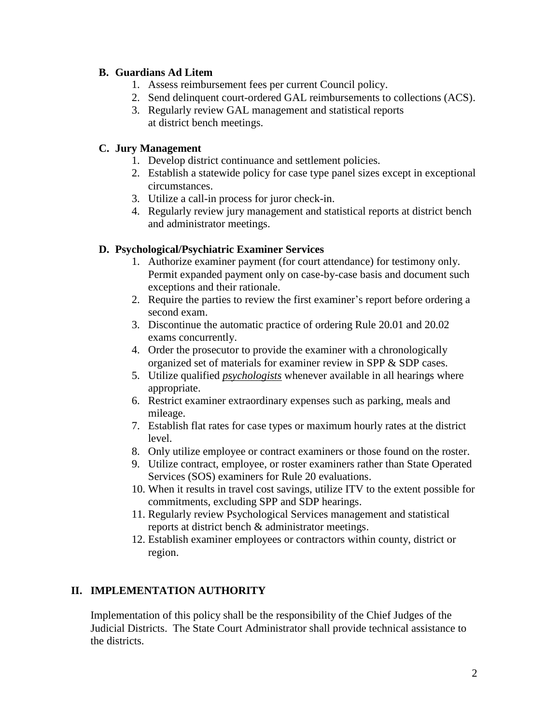#### **B. Guardians Ad Litem**

- 1. Assess reimbursement fees per current Council policy.
- 2. Send delinquent court-ordered GAL reimbursements to collections (ACS).
- 3. Regularly review GAL management and statistical reports at district bench meetings.

## **C. Jury Management**

- 1. Develop district continuance and settlement policies.
- 2. Establish a statewide policy for case type panel sizes except in exceptional circumstances.
- 3. Utilize a call-in process for juror check-in.
- 4. Regularly review jury management and statistical reports at district bench and administrator meetings.

### **D. Psychological/Psychiatric Examiner Services**

- 1. Authorize examiner payment (for court attendance) for testimony only. Permit expanded payment only on case-by-case basis and document such exceptions and their rationale.
- 2. Require the parties to review the first examiner's report before ordering a second exam.
- 3. Discontinue the automatic practice of ordering Rule 20.01 and 20.02 exams concurrently.
- 4. Order the prosecutor to provide the examiner with a chronologically organized set of materials for examiner review in SPP & SDP cases.
- 5. Utilize qualified *psychologists* whenever available in all hearings where appropriate.
- 6. Restrict examiner extraordinary expenses such as parking, meals and mileage.
- 7. Establish flat rates for case types or maximum hourly rates at the district level.
- 8. Only utilize employee or contract examiners or those found on the roster.
- 9. Utilize contract, employee, or roster examiners rather than State Operated Services (SOS) examiners for Rule 20 evaluations.
- 10. When it results in travel cost savings, utilize ITV to the extent possible for commitments, excluding SPP and SDP hearings.
- 11. Regularly review Psychological Services management and statistical reports at district bench & administrator meetings.
- 12. Establish examiner employees or contractors within county, district or region.

## **II. IMPLEMENTATION AUTHORITY**

Implementation of this policy shall be the responsibility of the Chief Judges of the Judicial Districts. The State Court Administrator shall provide technical assistance to the districts.